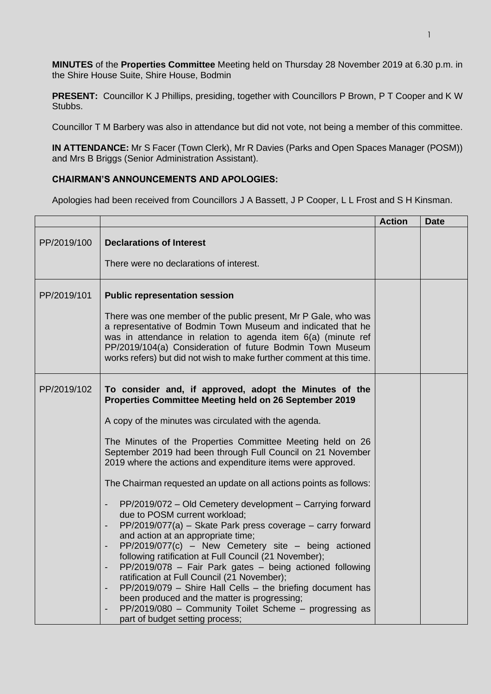**MINUTES** of the **Properties Committee** Meeting held on Thursday 28 November 2019 at 6.30 p.m. in the Shire House Suite, Shire House, Bodmin

**PRESENT:** Councillor K J Phillips, presiding, together with Councillors P Brown, P T Cooper and K W Stubbs.

Councillor T M Barbery was also in attendance but did not vote, not being a member of this committee.

**IN ATTENDANCE:** Mr S Facer (Town Clerk), Mr R Davies (Parks and Open Spaces Manager (POSM)) and Mrs B Briggs (Senior Administration Assistant).

## **CHAIRMAN'S ANNOUNCEMENTS AND APOLOGIES:**

Apologies had been received from Councillors J A Bassett, J P Cooper, L L Frost and S H Kinsman.

|             |                                                                                                                                                                                                                                                                                                                                                                                                                                                                                                                                                                                                                                                                                                                                                                                                                                                                                                                                                                                                                                                                                                                                                                           | <b>Action</b> | <b>Date</b> |
|-------------|---------------------------------------------------------------------------------------------------------------------------------------------------------------------------------------------------------------------------------------------------------------------------------------------------------------------------------------------------------------------------------------------------------------------------------------------------------------------------------------------------------------------------------------------------------------------------------------------------------------------------------------------------------------------------------------------------------------------------------------------------------------------------------------------------------------------------------------------------------------------------------------------------------------------------------------------------------------------------------------------------------------------------------------------------------------------------------------------------------------------------------------------------------------------------|---------------|-------------|
| PP/2019/100 | <b>Declarations of Interest</b><br>There were no declarations of interest.                                                                                                                                                                                                                                                                                                                                                                                                                                                                                                                                                                                                                                                                                                                                                                                                                                                                                                                                                                                                                                                                                                |               |             |
| PP/2019/101 | <b>Public representation session</b><br>There was one member of the public present, Mr P Gale, who was<br>a representative of Bodmin Town Museum and indicated that he<br>was in attendance in relation to agenda item 6(a) (minute ref<br>PP/2019/104(a) Consideration of future Bodmin Town Museum<br>works refers) but did not wish to make further comment at this time.                                                                                                                                                                                                                                                                                                                                                                                                                                                                                                                                                                                                                                                                                                                                                                                              |               |             |
| PP/2019/102 | To consider and, if approved, adopt the Minutes of the<br>Properties Committee Meeting held on 26 September 2019<br>A copy of the minutes was circulated with the agenda.<br>The Minutes of the Properties Committee Meeting held on 26<br>September 2019 had been through Full Council on 21 November<br>2019 where the actions and expenditure items were approved.<br>The Chairman requested an update on all actions points as follows:<br>PP/2019/072 - Old Cemetery development - Carrying forward<br>due to POSM current workload;<br>PP/2019/077(a) - Skate Park press coverage - carry forward<br>and action at an appropriate time;<br>$PP/2019/077(c)$ – New Cemetery site – being actioned<br>following ratification at Full Council (21 November);<br>PP/2019/078 - Fair Park gates - being actioned following<br>$\overline{\phantom{0}}$<br>ratification at Full Council (21 November);<br>PP/2019/079 - Shire Hall Cells - the briefing document has<br>$\overline{\phantom{a}}$<br>been produced and the matter is progressing;<br>PP/2019/080 - Community Toilet Scheme - progressing as<br>$\overline{\phantom{0}}$<br>part of budget setting process; |               |             |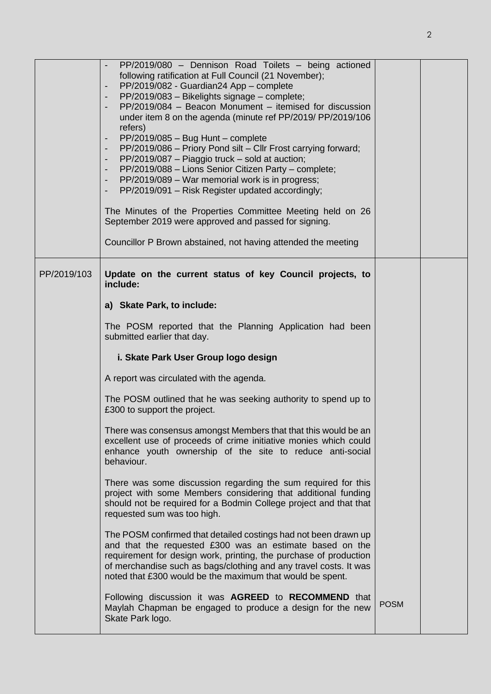|             | PP/2019/080 - Dennison Road Toilets - being actioned<br>following ratification at Full Council (21 November);<br>PP/2019/082 - Guardian24 App - complete<br>PP/2019/083 - Bikelights signage - complete;<br>PP/2019/084 - Beacon Monument - itemised for discussion<br>under item 8 on the agenda (minute ref PP/2019/ PP/2019/106<br>refers)<br>PP/2019/085 - Bug Hunt - complete<br>$\overline{\phantom{a}}$<br>PP/2019/086 - Priory Pond silt - Cllr Frost carrying forward;<br>$\overline{\phantom{a}}$<br>PP/2019/087 - Piaggio truck - sold at auction;<br>$\overline{\phantom{a}}$<br>PP/2019/088 - Lions Senior Citizen Party - complete;<br>$\overline{\phantom{a}}$<br>PP/2019/089 - War memorial work is in progress;<br>PP/2019/091 - Risk Register updated accordingly;<br>The Minutes of the Properties Committee Meeting held on 26<br>September 2019 were approved and passed for signing.<br>Councillor P Brown abstained, not having attended the meeting |             |  |
|-------------|-----------------------------------------------------------------------------------------------------------------------------------------------------------------------------------------------------------------------------------------------------------------------------------------------------------------------------------------------------------------------------------------------------------------------------------------------------------------------------------------------------------------------------------------------------------------------------------------------------------------------------------------------------------------------------------------------------------------------------------------------------------------------------------------------------------------------------------------------------------------------------------------------------------------------------------------------------------------------------|-------------|--|
| PP/2019/103 | Update on the current status of key Council projects, to<br>include:<br>a) Skate Park, to include:<br>The POSM reported that the Planning Application had been<br>submitted earlier that day.                                                                                                                                                                                                                                                                                                                                                                                                                                                                                                                                                                                                                                                                                                                                                                               |             |  |
|             | i. Skate Park User Group logo design                                                                                                                                                                                                                                                                                                                                                                                                                                                                                                                                                                                                                                                                                                                                                                                                                                                                                                                                        |             |  |
|             | A report was circulated with the agenda.                                                                                                                                                                                                                                                                                                                                                                                                                                                                                                                                                                                                                                                                                                                                                                                                                                                                                                                                    |             |  |
|             | The POSM outlined that he was seeking authority to spend up to<br>£300 to support the project.                                                                                                                                                                                                                                                                                                                                                                                                                                                                                                                                                                                                                                                                                                                                                                                                                                                                              |             |  |
|             | There was consensus amongst Members that that this would be an<br>excellent use of proceeds of crime initiative monies which could<br>enhance youth ownership of the site to reduce anti-social<br>behaviour.                                                                                                                                                                                                                                                                                                                                                                                                                                                                                                                                                                                                                                                                                                                                                               |             |  |
|             | There was some discussion regarding the sum required for this<br>project with some Members considering that additional funding<br>should not be required for a Bodmin College project and that that<br>requested sum was too high.                                                                                                                                                                                                                                                                                                                                                                                                                                                                                                                                                                                                                                                                                                                                          |             |  |
|             | The POSM confirmed that detailed costings had not been drawn up<br>and that the requested £300 was an estimate based on the<br>requirement for design work, printing, the purchase of production<br>of merchandise such as bags/clothing and any travel costs. It was<br>noted that £300 would be the maximum that would be spent.                                                                                                                                                                                                                                                                                                                                                                                                                                                                                                                                                                                                                                          |             |  |
|             | Following discussion it was AGREED to RECOMMEND that<br>Maylah Chapman be engaged to produce a design for the new<br>Skate Park logo.                                                                                                                                                                                                                                                                                                                                                                                                                                                                                                                                                                                                                                                                                                                                                                                                                                       | <b>POSM</b> |  |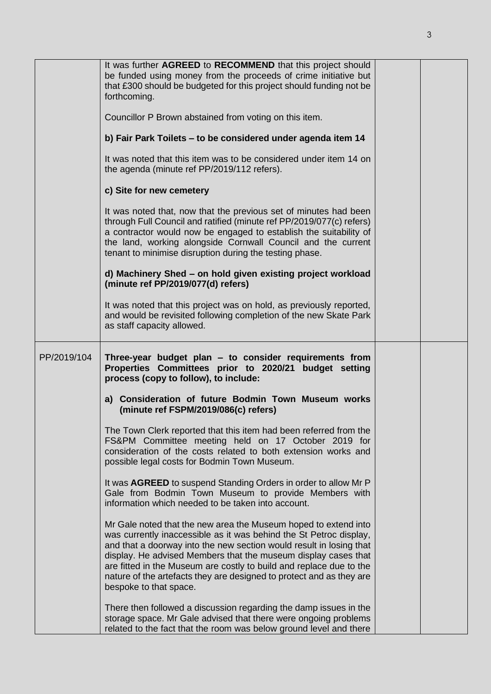|             | It was further AGREED to RECOMMEND that this project should<br>be funded using money from the proceeds of crime initiative but<br>that £300 should be budgeted for this project should funding not be<br>forthcoming.                                                                                                                                                                                                                                   |  |
|-------------|---------------------------------------------------------------------------------------------------------------------------------------------------------------------------------------------------------------------------------------------------------------------------------------------------------------------------------------------------------------------------------------------------------------------------------------------------------|--|
|             | Councillor P Brown abstained from voting on this item.                                                                                                                                                                                                                                                                                                                                                                                                  |  |
|             | b) Fair Park Toilets - to be considered under agenda item 14                                                                                                                                                                                                                                                                                                                                                                                            |  |
|             | It was noted that this item was to be considered under item 14 on<br>the agenda (minute ref PP/2019/112 refers).                                                                                                                                                                                                                                                                                                                                        |  |
|             | c) Site for new cemetery                                                                                                                                                                                                                                                                                                                                                                                                                                |  |
|             | It was noted that, now that the previous set of minutes had been<br>through Full Council and ratified (minute ref PP/2019/077(c) refers)<br>a contractor would now be engaged to establish the suitability of<br>the land, working alongside Cornwall Council and the current<br>tenant to minimise disruption during the testing phase.                                                                                                                |  |
|             | d) Machinery Shed - on hold given existing project workload<br>(minute ref PP/2019/077(d) refers)                                                                                                                                                                                                                                                                                                                                                       |  |
|             | It was noted that this project was on hold, as previously reported,<br>and would be revisited following completion of the new Skate Park<br>as staff capacity allowed.                                                                                                                                                                                                                                                                                  |  |
| PP/2019/104 | Three-year budget plan - to consider requirements from<br>Properties Committees prior to 2020/21 budget setting<br>process (copy to follow), to include:                                                                                                                                                                                                                                                                                                |  |
|             | a) Consideration of future Bodmin Town Museum works<br>(minute ref FSPM/2019/086(c) refers)                                                                                                                                                                                                                                                                                                                                                             |  |
|             | The Town Clerk reported that this item had been referred from the<br>FS&PM Committee meeting held on 17 October 2019 for<br>consideration of the costs related to both extension works and<br>possible legal costs for Bodmin Town Museum.                                                                                                                                                                                                              |  |
|             | It was AGREED to suspend Standing Orders in order to allow Mr P<br>Gale from Bodmin Town Museum to provide Members with<br>information which needed to be taken into account.                                                                                                                                                                                                                                                                           |  |
|             | Mr Gale noted that the new area the Museum hoped to extend into<br>was currently inaccessible as it was behind the St Petroc display,<br>and that a doorway into the new section would result in losing that<br>display. He advised Members that the museum display cases that<br>are fitted in the Museum are costly to build and replace due to the<br>nature of the artefacts they are designed to protect and as they are<br>bespoke to that space. |  |
|             | There then followed a discussion regarding the damp issues in the<br>storage space. Mr Gale advised that there were ongoing problems<br>related to the fact that the room was below ground level and there                                                                                                                                                                                                                                              |  |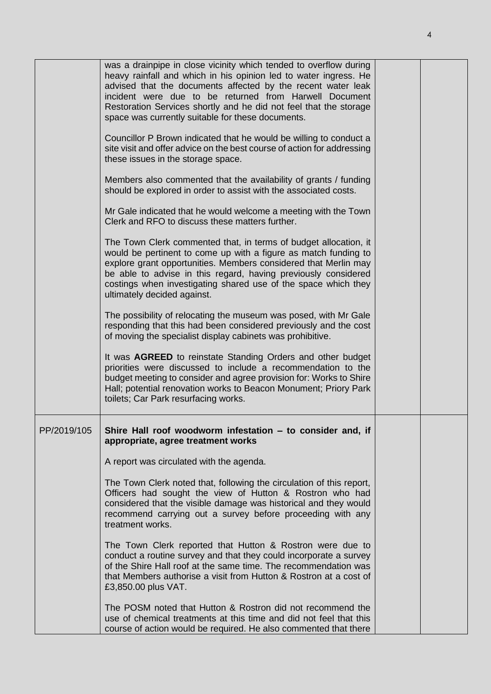|             | was a drainpipe in close vicinity which tended to overflow during<br>heavy rainfall and which in his opinion led to water ingress. He<br>advised that the documents affected by the recent water leak<br>incident were due to be returned from Harwell Document<br>Restoration Services shortly and he did not feel that the storage<br>space was currently suitable for these documents. |  |
|-------------|-------------------------------------------------------------------------------------------------------------------------------------------------------------------------------------------------------------------------------------------------------------------------------------------------------------------------------------------------------------------------------------------|--|
|             | Councillor P Brown indicated that he would be willing to conduct a<br>site visit and offer advice on the best course of action for addressing<br>these issues in the storage space.                                                                                                                                                                                                       |  |
|             | Members also commented that the availability of grants / funding<br>should be explored in order to assist with the associated costs.                                                                                                                                                                                                                                                      |  |
|             | Mr Gale indicated that he would welcome a meeting with the Town<br>Clerk and RFO to discuss these matters further.                                                                                                                                                                                                                                                                        |  |
|             | The Town Clerk commented that, in terms of budget allocation, it<br>would be pertinent to come up with a figure as match funding to<br>explore grant opportunities. Members considered that Merlin may<br>be able to advise in this regard, having previously considered<br>costings when investigating shared use of the space which they<br>ultimately decided against.                 |  |
|             | The possibility of relocating the museum was posed, with Mr Gale<br>responding that this had been considered previously and the cost<br>of moving the specialist display cabinets was prohibitive.                                                                                                                                                                                        |  |
|             | It was AGREED to reinstate Standing Orders and other budget<br>priorities were discussed to include a recommendation to the<br>budget meeting to consider and agree provision for: Works to Shire<br>Hall; potential renovation works to Beacon Monument; Priory Park<br>toilets; Car Park resurfacing works.                                                                             |  |
| PP/2019/105 | Shire Hall roof woodworm infestation - to consider and, if<br>appropriate, agree treatment works                                                                                                                                                                                                                                                                                          |  |
|             | A report was circulated with the agenda.                                                                                                                                                                                                                                                                                                                                                  |  |
|             | The Town Clerk noted that, following the circulation of this report,<br>Officers had sought the view of Hutton & Rostron who had<br>considered that the visible damage was historical and they would<br>recommend carrying out a survey before proceeding with any<br>treatment works.                                                                                                    |  |
|             | The Town Clerk reported that Hutton & Rostron were due to<br>conduct a routine survey and that they could incorporate a survey<br>of the Shire Hall roof at the same time. The recommendation was<br>that Members authorise a visit from Hutton & Rostron at a cost of<br>£3,850.00 plus VAT.                                                                                             |  |
|             | The POSM noted that Hutton & Rostron did not recommend the<br>use of chemical treatments at this time and did not feel that this<br>course of action would be required. He also commented that there                                                                                                                                                                                      |  |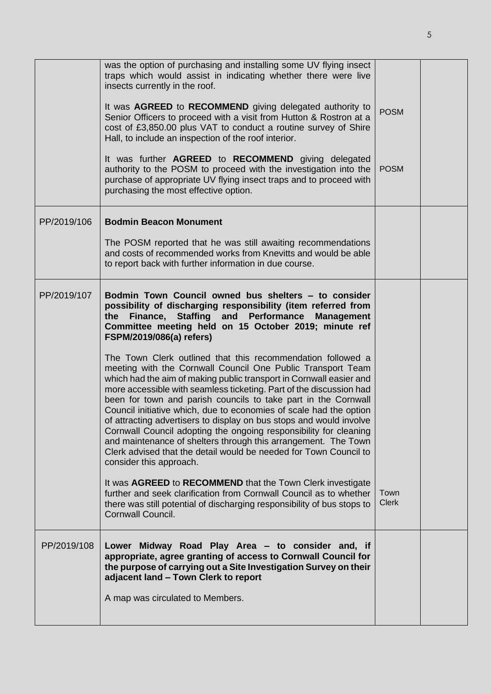|             | was the option of purchasing and installing some UV flying insect<br>traps which would assist in indicating whether there were live<br>insects currently in the roof.<br>It was AGREED to RECOMMEND giving delegated authority to<br>Senior Officers to proceed with a visit from Hutton & Rostron at a                                                                                                                                                                                                                                                                                                                                                                                                                                                                                                                                                                                                                                                                                                                                                                                                                                                                                                                                        | <b>POSM</b>          |  |
|-------------|------------------------------------------------------------------------------------------------------------------------------------------------------------------------------------------------------------------------------------------------------------------------------------------------------------------------------------------------------------------------------------------------------------------------------------------------------------------------------------------------------------------------------------------------------------------------------------------------------------------------------------------------------------------------------------------------------------------------------------------------------------------------------------------------------------------------------------------------------------------------------------------------------------------------------------------------------------------------------------------------------------------------------------------------------------------------------------------------------------------------------------------------------------------------------------------------------------------------------------------------|----------------------|--|
|             | cost of £3,850.00 plus VAT to conduct a routine survey of Shire<br>Hall, to include an inspection of the roof interior.<br>It was further AGREED to RECOMMEND giving delegated<br>authority to the POSM to proceed with the investigation into the<br>purchase of appropriate UV flying insect traps and to proceed with<br>purchasing the most effective option.                                                                                                                                                                                                                                                                                                                                                                                                                                                                                                                                                                                                                                                                                                                                                                                                                                                                              | <b>POSM</b>          |  |
| PP/2019/106 | <b>Bodmin Beacon Monument</b><br>The POSM reported that he was still awaiting recommendations<br>and costs of recommended works from Knevitts and would be able<br>to report back with further information in due course.                                                                                                                                                                                                                                                                                                                                                                                                                                                                                                                                                                                                                                                                                                                                                                                                                                                                                                                                                                                                                      |                      |  |
| PP/2019/107 | Bodmin Town Council owned bus shelters - to consider<br>possibility of discharging responsibility (item referred from<br>Finance, Staffing and Performance Management<br>the<br>Committee meeting held on 15 October 2019; minute ref<br><b>FSPM/2019/086(a) refers)</b><br>The Town Clerk outlined that this recommendation followed a<br>meeting with the Cornwall Council One Public Transport Team<br>which had the aim of making public transport in Cornwall easier and<br>more accessible with seamless ticketing. Part of the discussion had<br>been for town and parish councils to take part in the Cornwall<br>Council initiative which, due to economies of scale had the option<br>of attracting advertisers to display on bus stops and would involve<br>Cornwall Council adopting the ongoing responsibility for cleaning<br>and maintenance of shelters through this arrangement. The Town<br>Clerk advised that the detail would be needed for Town Council to<br>consider this approach.<br>It was AGREED to RECOMMEND that the Town Clerk investigate<br>further and seek clarification from Cornwall Council as to whether<br>there was still potential of discharging responsibility of bus stops to<br>Cornwall Council. | Town<br><b>Clerk</b> |  |
| PP/2019/108 | Lower Midway Road Play Area - to consider and, if<br>appropriate, agree granting of access to Cornwall Council for<br>the purpose of carrying out a Site Investigation Survey on their<br>adjacent land - Town Clerk to report<br>A map was circulated to Members.                                                                                                                                                                                                                                                                                                                                                                                                                                                                                                                                                                                                                                                                                                                                                                                                                                                                                                                                                                             |                      |  |
|             |                                                                                                                                                                                                                                                                                                                                                                                                                                                                                                                                                                                                                                                                                                                                                                                                                                                                                                                                                                                                                                                                                                                                                                                                                                                |                      |  |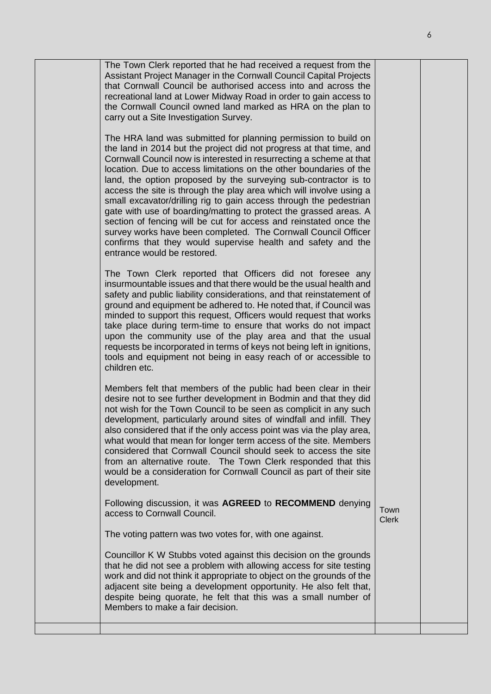| The Town Clerk reported that he had received a request from the<br>Assistant Project Manager in the Cornwall Council Capital Projects<br>that Cornwall Council be authorised access into and across the<br>recreational land at Lower Midway Road in order to gain access to<br>the Cornwall Council owned land marked as HRA on the plan to<br>carry out a Site Investigation Survey.                                                                                                                                                                                                                                                                                                                                                                                                                        |                      |  |
|---------------------------------------------------------------------------------------------------------------------------------------------------------------------------------------------------------------------------------------------------------------------------------------------------------------------------------------------------------------------------------------------------------------------------------------------------------------------------------------------------------------------------------------------------------------------------------------------------------------------------------------------------------------------------------------------------------------------------------------------------------------------------------------------------------------|----------------------|--|
| The HRA land was submitted for planning permission to build on<br>the land in 2014 but the project did not progress at that time, and<br>Cornwall Council now is interested in resurrecting a scheme at that<br>location. Due to access limitations on the other boundaries of the<br>land, the option proposed by the surveying sub-contractor is to<br>access the site is through the play area which will involve using a<br>small excavator/drilling rig to gain access through the pedestrian<br>gate with use of boarding/matting to protect the grassed areas. A<br>section of fencing will be cut for access and reinstated once the<br>survey works have been completed. The Cornwall Council Officer<br>confirms that they would supervise health and safety and the<br>entrance would be restored. |                      |  |
| The Town Clerk reported that Officers did not foresee any<br>insurmountable issues and that there would be the usual health and<br>safety and public liability considerations, and that reinstatement of<br>ground and equipment be adhered to. He noted that, if Council was<br>minded to support this request, Officers would request that works<br>take place during term-time to ensure that works do not impact<br>upon the community use of the play area and that the usual<br>requests be incorporated in terms of keys not being left in ignitions,<br>tools and equipment not being in easy reach of or accessible to<br>children etc.                                                                                                                                                              |                      |  |
| Members felt that members of the public had been clear in their<br>desire not to see further development in Bodmin and that they did<br>not wish for the Town Council to be seen as complicit in any such<br>development, particularly around sites of windfall and infill. They<br>also considered that if the only access point was via the play area,<br>what would that mean for longer term access of the site. Members<br>considered that Cornwall Council should seek to access the site<br>from an alternative route. The Town Clerk responded that this<br>would be a consideration for Cornwall Council as part of their site<br>development.                                                                                                                                                       |                      |  |
| Following discussion, it was AGREED to RECOMMEND denying<br>access to Cornwall Council.                                                                                                                                                                                                                                                                                                                                                                                                                                                                                                                                                                                                                                                                                                                       | Town<br><b>Clerk</b> |  |
| The voting pattern was two votes for, with one against.                                                                                                                                                                                                                                                                                                                                                                                                                                                                                                                                                                                                                                                                                                                                                       |                      |  |
| Councillor K W Stubbs voted against this decision on the grounds<br>that he did not see a problem with allowing access for site testing<br>work and did not think it appropriate to object on the grounds of the<br>adjacent site being a development opportunity. He also felt that,<br>despite being quorate, he felt that this was a small number of<br>Members to make a fair decision.                                                                                                                                                                                                                                                                                                                                                                                                                   |                      |  |
|                                                                                                                                                                                                                                                                                                                                                                                                                                                                                                                                                                                                                                                                                                                                                                                                               |                      |  |